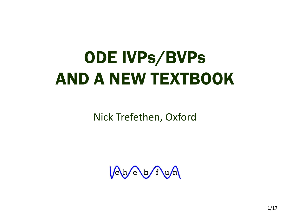# ODE IVPs/BVPs AND A NEW TEXTBOOK

Nick Trefethen, Oxford

Cheb fun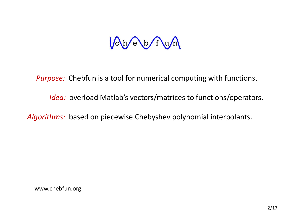# $\sqrt{c}$  h/e b/f u/n

 *Purpose:* Chebfun is a tool for numerical computing with functions.

 *Idea:* overload Matlab's vectors/matrices to functions/operators.

*Algorithms:* based on piecewise Chebyshev polynomial interpolants.

www.chebfun.org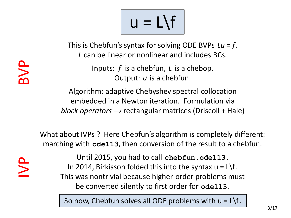$u = L\$ 

This is Chebfun's syntax for solving ODE BVPs *Lu* = *f*. *L* can be linear or nonlinear and includes BCs.

> Inputs: *f* is a chebfun, *L* is a chebop. Output: *u* is a chebfun.

Algorithm: adaptive Chebyshev spectral collocation embedded in a Newton iteration. Formulation via *block operators →* rectangular matrices (Driscoll + Hale)

What about IVPs ? Here Chebfun's algorithm is completely different: marching with **ode113**, then conversion of the result to a chebfun.

IVP

Until 2015, you had to call **chebfun.ode113**. In 2014, Birkisson folded this into the syntax  $u = L \$ f. This was nontrivial because higher-order problems must be converted silently to first order for **ode113**.

So now, Chebfun solves all ODE problems with  $u = L\$ f.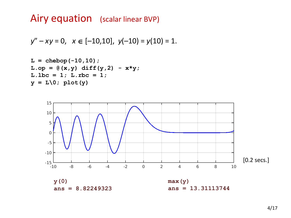# Airy equation (scalar linear BVP)

$$
y'' - xy = 0, \quad x \in [-10, 10], \quad y(-10) = y(10) = 1.
$$

L = chebop(-10,10);  
\nL\_op = 
$$
\mathcal{C}(x,y)
$$
 diff(y,2) - x\*y;  
\nL.lbc = 1; L.rbc = 1;  
\ny = L\0; plot(y)

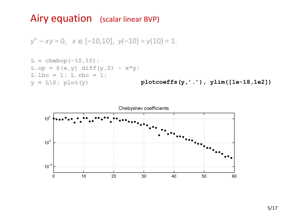### Airy equation (scalar linear BVP)

 $y'' - xy = 0$ ,  $x \in [-10, 10]$ ,  $y(-10) = y(10) = 1$ .

L = chebop(-10,10);  
\nL.op = 
$$
\mathcal{C}(x,y)
$$
 diff(y,2) - x\*y;  
\nL.lbc = 1; L.rbc = 1;  
\ny = L\0; plot(y)

**plotcoeffs(y,'.'), ylim([1e-18,1e2])**

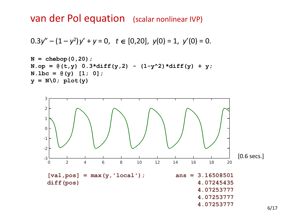van der Pol equation (scalar nonlinear IVP)

$$
0.3y'' - (1 - y^2)y' + y = 0, \quad t \in [0,20], \ y(0) = 1, \ y'(0) = 0.
$$





6/17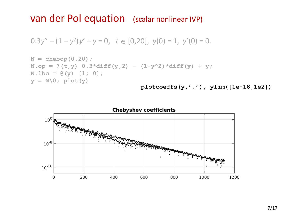#### van der Pol equation (scalar nonlinear IVP)

$$
0.3y'' - (1 - y^2)y' + y = 0, \quad t \in [0,20], \quad y(0) = 1, \quad y'(0) = 0.
$$



**plotcoeffs(y,'.'), ylim([1e-18,1e2])**

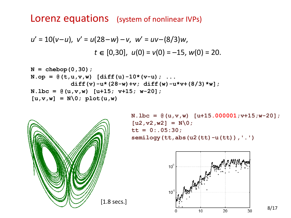#### Lorenz equations (system of nonlinear IVPs)

$$
u' = 10(v-u), v' = u(28-w) - v, w' = uv - (8/3)w,
$$
  

$$
t \in [0,30], u(0) = v(0) = -15, w(0) = 20.
$$

N = chebop(0,30);  
\nN.op = 
$$
\theta(t, u, v, w)
$$
 [diff(u) -10\*(v-u); ...  
\ndiff(v) -u\*(28-w)+v; diff(w) -u\*v+(8/3)\*w];  
\nN.lbc =  $\theta(u, v, w)$  [u+15; v+15; w-20];  
\n[u, v, w] = N(0; plot(u, w)



**N.lbc = @(u,v,w) [u+15.000001;v+15;w-20]; [u2,v2,w2] = N\0;**  $tt = 0: .05:30;$ **semilogy(tt,abs(u2(tt)-u(tt)),'.')**



8/17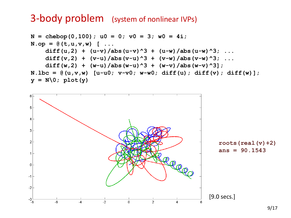#### 3-body problem (system of nonlinear IVPs)

```
N = chebop(0,100); u0 = 0; v0 = 3; w0 = 4i;
N. op = \theta (t, u, v, w) [ ...
    diff(u,2) + (u-v)/abs(u-v)^3 + (u-w)/abs(u-w)^3; ...
    diff(v,2) + (v-u)/abs(v-u)^3 + (v-w)/abs(v-w)^3; ...
    diff(w,2) + (w-u)/abs(w-u)^3 + (w-v)/abs(w-v)^3;
N.1bc = (u,v,w) [u-u0; v-v0; w-w0; diff(u); diff(v); diff(w)];y = N(0; plot(y))
```
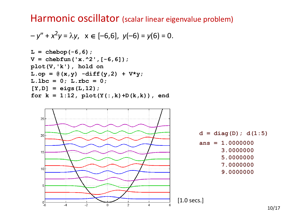#### Harmonic oscillator (scalar linear eigenvalue problem)

$$
-y'' + x^2y = \lambda y, \quad x \in [-6,6], \quad y(-6) = y(6) = 0.
$$





**d = diag(D); d(1:5) ans = 1.0000000 3.0000000 5.0000000 7.0000000 9.0000000**

10/17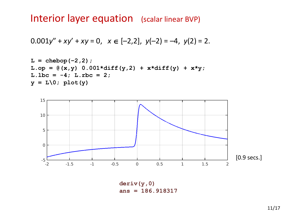### Interior layer equation (scalar linear BVP)

$$
0.001y'' + xy' + xy = 0, \quad x \in [-2,2], \quad y(-2) = -4, \quad y(2) = 2.
$$

L = chebop(-2,2);  
\nL-op = 
$$
\mathcal{C}(x,y)
$$
 0.001\*diff(y,2) + x\*diff(y) + x\*y;  
\nL.lbc = -4; L.rbc = 2;  
\n $y = L\mathcal{C}$ ; plot(y)



**deriv(y,0) ans = 186.918317**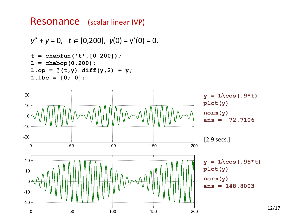#### Resonance (scalar linear IVP)

```
y'' + y = 0, t \in [0,200], y(0) = y'(0) = 0.
t = chebfun('t',[0 200]);
L = chebop(0,200);
L.op = @ (t,y) diff(y,2) + y;L.1bc = [0; 0];
```
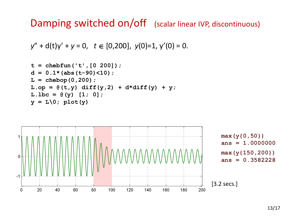Damping switched on/off (scalar linear IVP, discontinuous)

```
y'' + d(t)y' + y = 0, t \in [0,200], y(0)=1, y'(0) = 0.
```

```
t = chebfun('t',[0 200]);
d = 0.1*(abs(t-90) < 10);L = chebop(0,200);
L.op = [0(t,y) \text{ diff}(y,2) + d*diff(y) + y;L.1bc = (e(y) [1; 0];y = L(0; plot(y))
```
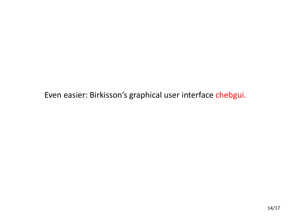Even easier: Birkisson's graphical user interface chebgui.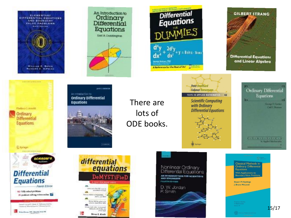

**Differential Equations** and Linear Algebra Ordinary Differential Equations **German F. Carrier Call Rosen DE L'EVETTERE LOCES b.** Applied Madressian

**GILBERT STRANG** 

**Classical Methods in Ordinary Differential Equations** With Applications to Boundary Value Problems **Stuart P. Hastings** J. Bryce McLeod 15/17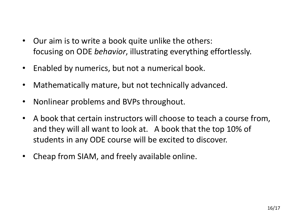- Our aim is to write a book quite unlike the others: focusing on ODE *behavior*, illustrating everything effortlessly.
- Enabled by numerics, but not a numerical book.
- Mathematically mature, but not technically advanced.
- Nonlinear problems and BVPs throughout.
- A book that certain instructors will choose to teach a course from, and they will all want to look at. A book that the top 10% of students in any ODE course will be excited to discover.
- Cheap from SIAM, and freely available online.